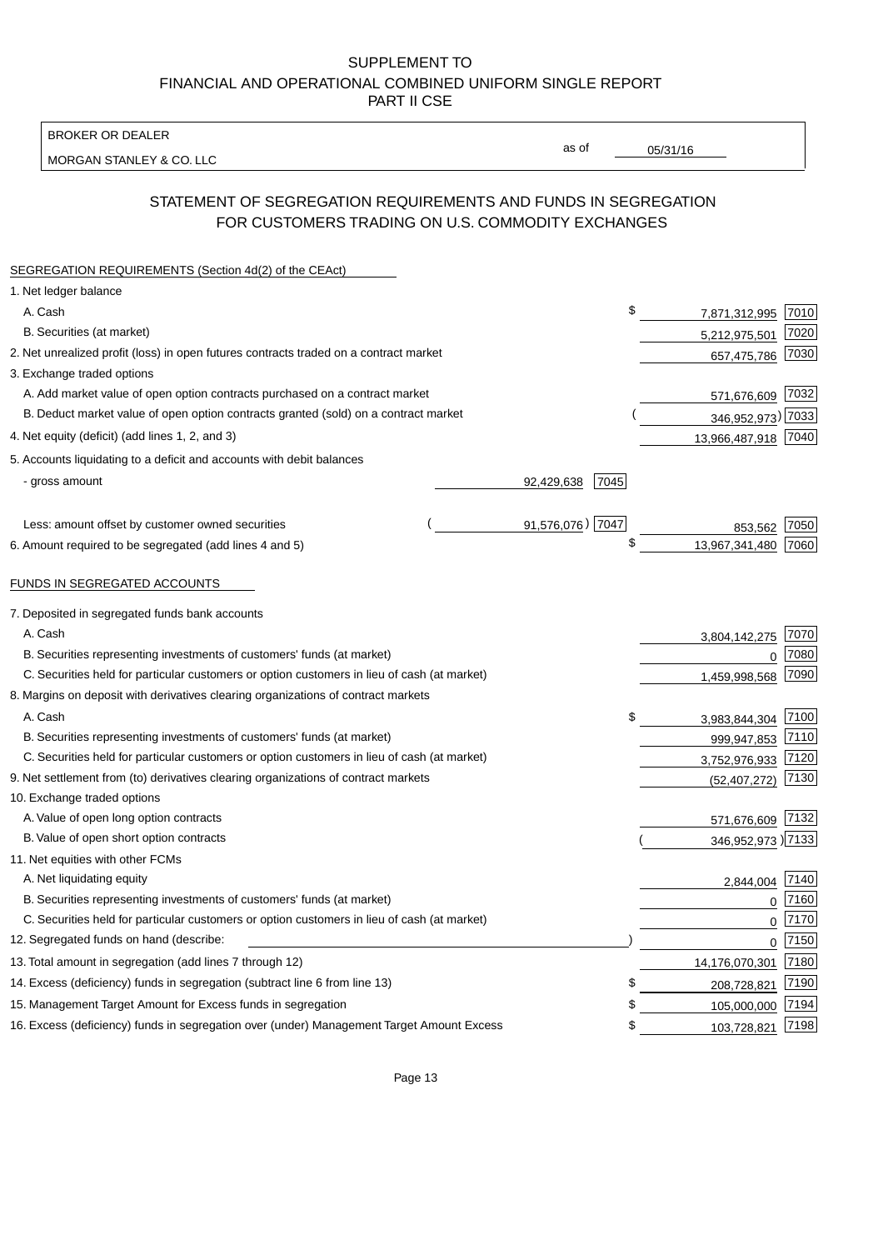BROKER OR DEALER

MORGAN STANLEY & CO. LLC

05/31/16

as of

# STATEMENT OF SEGREGATION REQUIREMENTS AND FUNDS IN SEGREGATION FOR CUSTOMERS TRADING ON U.S. COMMODITY EXCHANGES

| SEGREGATION REQUIREMENTS (Section 4d(2) of the CEAct)                                       |                    |                     |      |
|---------------------------------------------------------------------------------------------|--------------------|---------------------|------|
| 1. Net ledger balance                                                                       |                    |                     |      |
| A. Cash                                                                                     | \$                 | 7,871,312,995       | 7010 |
| B. Securities (at market)                                                                   |                    | 5,212,975,501       | 7020 |
| 2. Net unrealized profit (loss) in open futures contracts traded on a contract market       |                    | 657,475,786         | 7030 |
| 3. Exchange traded options                                                                  |                    |                     |      |
| A. Add market value of open option contracts purchased on a contract market                 |                    | 571,676,609         | 7032 |
| B. Deduct market value of open option contracts granted (sold) on a contract market         |                    | 346,952,973) 7033   |      |
| 4. Net equity (deficit) (add lines 1, 2, and 3)                                             |                    | 13,966,487,918 7040 |      |
| 5. Accounts liquidating to a deficit and accounts with debit balances                       |                    |                     |      |
| - gross amount                                                                              | 92,429,638<br>7045 |                     |      |
|                                                                                             |                    |                     |      |
| Less: amount offset by customer owned securities                                            | 91,576,076) 7047   | 853,562             | 7050 |
| 6. Amount required to be segregated (add lines 4 and 5)                                     | \$                 | 13,967,341,480      | 7060 |
|                                                                                             |                    |                     |      |
| FUNDS IN SEGREGATED ACCOUNTS                                                                |                    |                     |      |
| 7. Deposited in segregated funds bank accounts                                              |                    |                     |      |
| A. Cash                                                                                     |                    | 3,804,142,275       | 7070 |
| B. Securities representing investments of customers' funds (at market)                      |                    | $\Omega$            | 7080 |
| C. Securities held for particular customers or option customers in lieu of cash (at market) |                    | 1,459,998,568       | 7090 |
| 8. Margins on deposit with derivatives clearing organizations of contract markets           |                    |                     |      |
| A. Cash                                                                                     | \$                 | 3,983,844,304       | 7100 |
| B. Securities representing investments of customers' funds (at market)                      |                    | 999,947,853         | 7110 |
| C. Securities held for particular customers or option customers in lieu of cash (at market) |                    | 3,752,976,933       | 7120 |
| 9. Net settlement from (to) derivatives clearing organizations of contract markets          |                    | (52, 407, 272)      | 7130 |
| 10. Exchange traded options                                                                 |                    |                     |      |
| A. Value of open long option contracts                                                      |                    | 571,676,609         | 7132 |
| B. Value of open short option contracts                                                     |                    | 346,952,973) 7133   |      |
| 11. Net equities with other FCMs                                                            |                    |                     |      |
| A. Net liquidating equity                                                                   |                    | 2,844,004           | 7140 |
| B. Securities representing investments of customers' funds (at market)                      |                    | $\Omega$            | 7160 |
| C. Securities held for particular customers or option customers in lieu of cash (at market) |                    | $\mathbf 0$         | 7170 |
| 12. Segregated funds on hand (describe:                                                     |                    | $\mathbf 0$         | 7150 |
| 13. Total amount in segregation (add lines 7 through 12)                                    |                    | 14,176,070,301      | 7180 |
| 14. Excess (deficiency) funds in segregation (subtract line 6 from line 13)                 | S                  | 208,728,821         | 7190 |
| 15. Management Target Amount for Excess funds in segregation                                | \$                 | 105,000,000         | 7194 |
| 16. Excess (deficiency) funds in segregation over (under) Management Target Amount Excess   | \$                 | 103,728,821         | 7198 |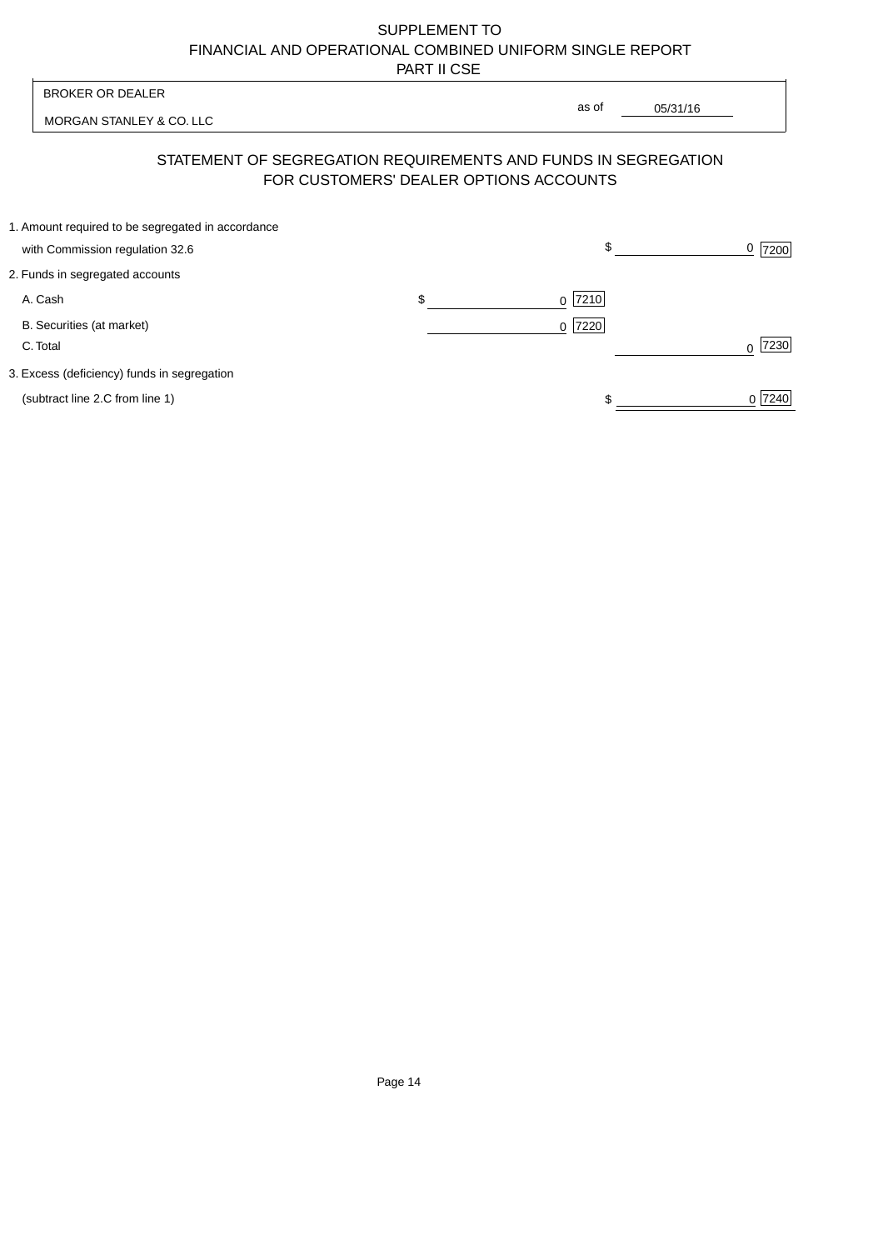| <b>BROKER OR DEALER</b>                                                                                  | as of                    |          |                     |
|----------------------------------------------------------------------------------------------------------|--------------------------|----------|---------------------|
| MORGAN STANLEY & CO. LLC                                                                                 |                          | 05/31/16 |                     |
| STATEMENT OF SEGREGATION REQUIREMENTS AND FUNDS IN SEGREGATION<br>FOR CUSTOMERS' DEALER OPTIONS ACCOUNTS |                          |          |                     |
| 1. Amount required to be segregated in accordance<br>with Commission regulation 32.6                     | \$                       |          | $\frac{0}{2}$  7200 |
| 2. Funds in segregated accounts                                                                          |                          |          |                     |
| A. Cash                                                                                                  | \$<br> 7210 <br>$\Omega$ |          |                     |
| B. Securities (at market)<br>C. Total                                                                    | 7220<br>$\Omega$         |          | 7230<br>U           |
| 3. Excess (deficiency) funds in segregation                                                              |                          |          |                     |
| (subtract line 2.C from line 1)                                                                          |                          |          | 0 7240              |
|                                                                                                          |                          |          |                     |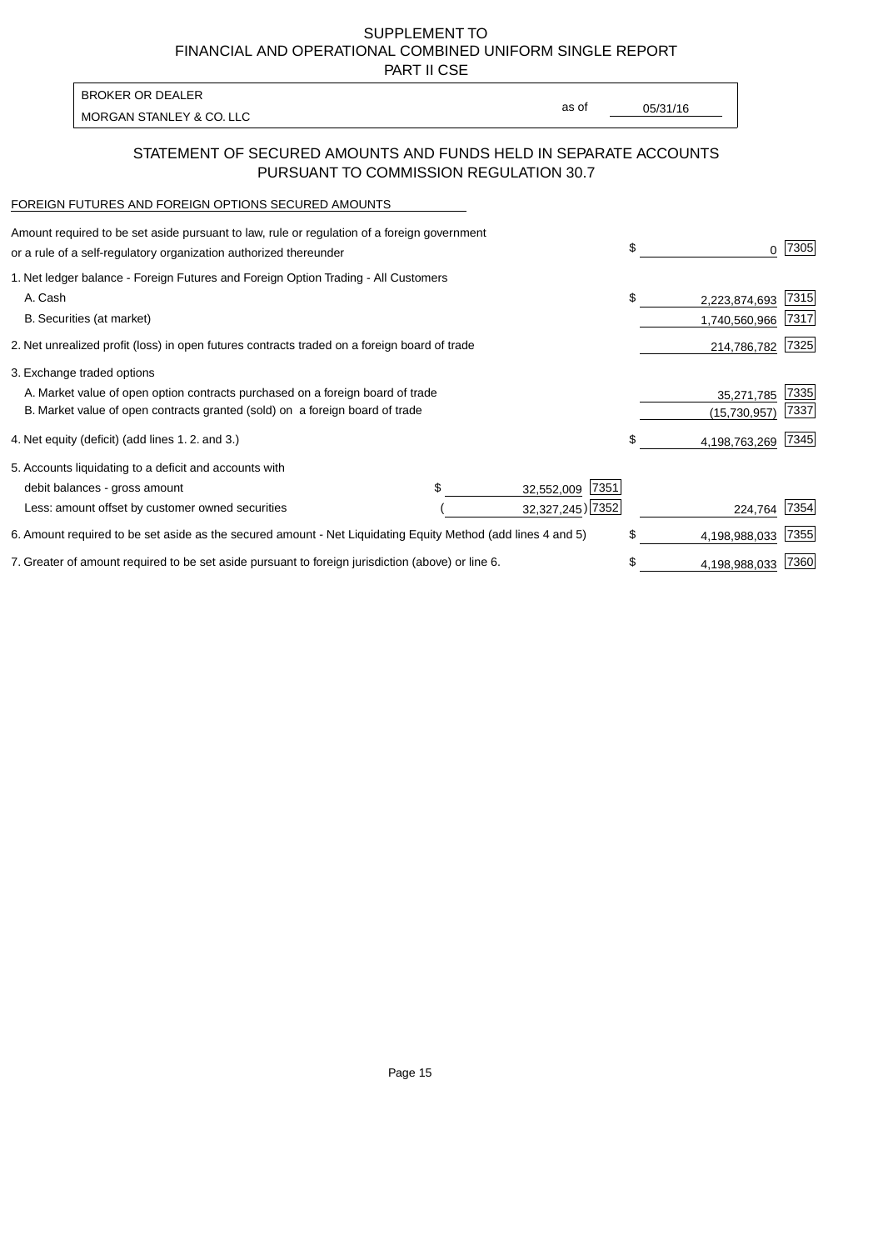PART II CSE

| BROKER OR DEALER         |       |          |
|--------------------------|-------|----------|
| MORGAN STANLEY & CO. LLC | as of | 05/31/16 |
|                          |       |          |

### STATEMENT OF SECURED AMOUNTS AND FUNDS HELD IN SEPARATE ACCOUNTS PURSUANT TO COMMISSION REGULATION 30.7

#### FOREIGN FUTURES AND FOREIGN OPTIONS SECURED AMOUNTS

| Amount required to be set aside pursuant to law, rule or regulation of a foreign government<br>or a rule of a self-regulatory organization authorized thereunder |                    | \$<br>0             | 7305 |
|------------------------------------------------------------------------------------------------------------------------------------------------------------------|--------------------|---------------------|------|
| 1. Net ledger balance - Foreign Futures and Foreign Option Trading - All Customers                                                                               |                    |                     |      |
| A. Cash                                                                                                                                                          |                    | \$<br>2,223,874,693 | 7315 |
| B. Securities (at market)                                                                                                                                        |                    | 1,740,560,966       | 7317 |
| 2. Net unrealized profit (loss) in open futures contracts traded on a foreign board of trade                                                                     |                    | 214,786,782         | 7325 |
| 3. Exchange traded options                                                                                                                                       |                    |                     |      |
| A. Market value of open option contracts purchased on a foreign board of trade                                                                                   |                    | 35,271,785          | 7335 |
| B. Market value of open contracts granted (sold) on a foreign board of trade                                                                                     |                    | (15, 730, 957)      | 7337 |
| 4. Net equity (deficit) (add lines 1.2. and 3.)                                                                                                                  |                    | \$<br>4,198,763,269 | 7345 |
| 5. Accounts liquidating to a deficit and accounts with                                                                                                           |                    |                     |      |
| debit balances - gross amount                                                                                                                                    | 7351<br>32,552,009 |                     |      |
| Less: amount offset by customer owned securities                                                                                                                 | 32,327,245) 7352   | 224,764             | 7354 |
| 6. Amount required to be set aside as the secured amount - Net Liquidating Equity Method (add lines 4 and 5)                                                     |                    | \$<br>4,198,988,033 | 7355 |
| 7. Greater of amount required to be set aside pursuant to foreign jurisdiction (above) or line 6.                                                                |                    | \$<br>4,198,988,033 | 7360 |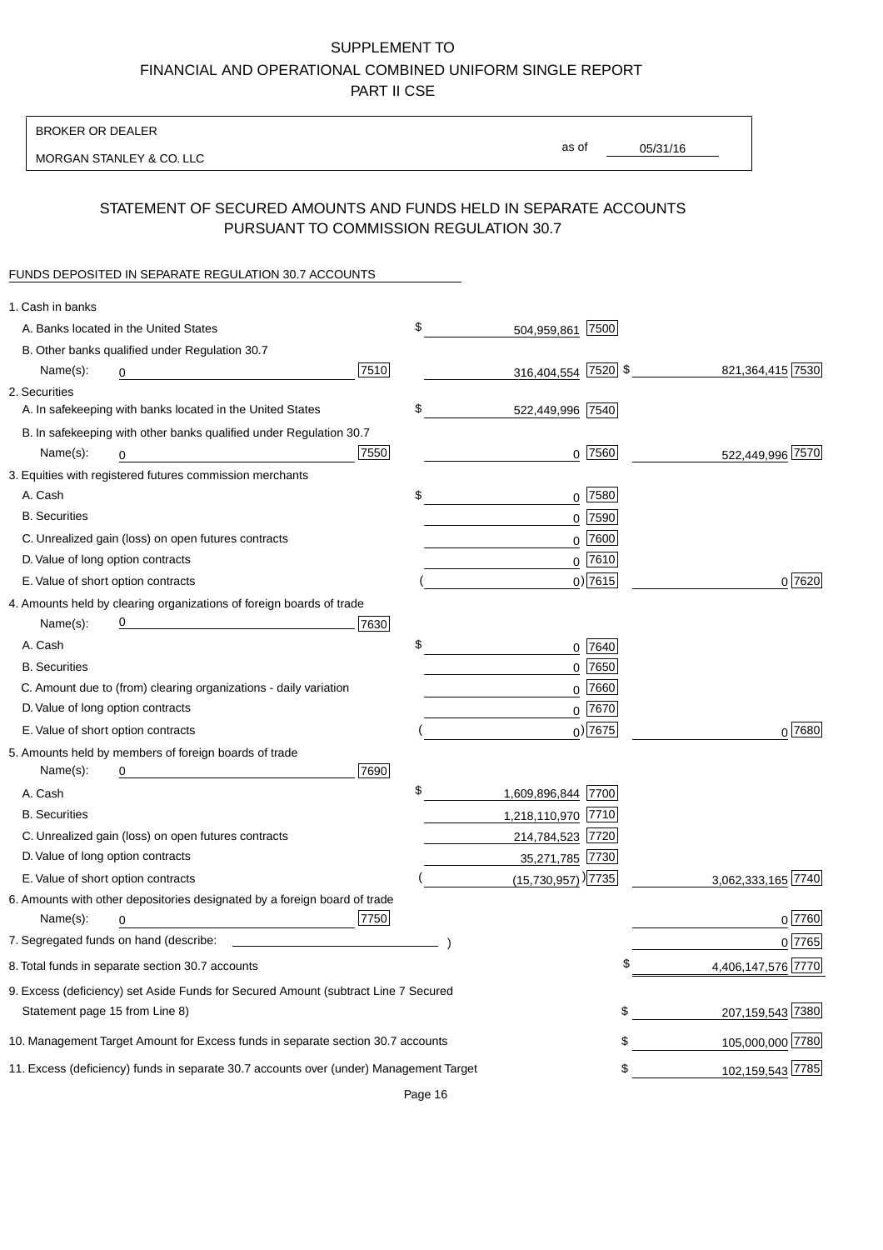BROKER OR DEALER

MORGAN STANLEY & CO. LLC

05/31/16

as of

## STATEMENT OF SECURED AMOUNTS AND FUNDS HELD IN SEPARATE ACCOUNTS PURSUANT TO COMMISSION REGULATION 30.7

#### FUNDS DEPOSITED IN SEPARATE REGULATION 30.7 ACCOUNTS

| 1. Cash in banks                   |                                                                                                                      |      |                                  |            |                    |
|------------------------------------|----------------------------------------------------------------------------------------------------------------------|------|----------------------------------|------------|--------------------|
|                                    | A. Banks located in the United States                                                                                |      | \$<br>504,959,861 7500           |            |                    |
|                                    | B. Other banks qualified under Regulation 30.7                                                                       |      |                                  |            |                    |
| Name(s):                           | 0                                                                                                                    | 7510 | 316,404,554 7520 \$              |            | 821,364,415 7530   |
| 2. Securities                      |                                                                                                                      |      |                                  |            |                    |
|                                    | A. In safekeeping with banks located in the United States                                                            |      | \$<br>522,449,996 7540           |            |                    |
|                                    | B. In safekeeping with other banks qualified under Regulation 30.7                                                   |      |                                  |            |                    |
| Name(s):                           | 0                                                                                                                    | 7550 |                                  | $0$ 7560   | 522,449,996 7570   |
|                                    | 3. Equities with registered futures commission merchants                                                             |      |                                  |            |                    |
| A. Cash                            |                                                                                                                      |      | \$                               | $0$ 7580   |                    |
| <b>B.</b> Securities               |                                                                                                                      |      |                                  | $0$ 7590   |                    |
|                                    | C. Unrealized gain (loss) on open futures contracts                                                                  |      |                                  | $0$ 7600   |                    |
| D. Value of long option contracts  |                                                                                                                      |      |                                  | $0$ 7610   |                    |
| E. Value of short option contracts |                                                                                                                      |      |                                  | $0$ ) 7615 | 0 7620             |
|                                    | 4. Amounts held by clearing organizations of foreign boards of trade                                                 |      |                                  |            |                    |
| Name(s):                           | <u> 1989 - Johann Barn, mars eta bat erroman erroman erroman erroman erroman erroman erroman erroman erroman err</u> | 7630 |                                  |            |                    |
| A. Cash                            |                                                                                                                      |      | \$                               | 0 7640     |                    |
| <b>B.</b> Securities               |                                                                                                                      |      |                                  | $0$ 7650   |                    |
|                                    | C. Amount due to (from) clearing organizations - daily variation                                                     |      |                                  | $0$ 7660   |                    |
| D. Value of long option contracts  |                                                                                                                      |      |                                  | $0^{7670}$ |                    |
|                                    | E. Value of short option contracts                                                                                   |      |                                  | $0$ ) 7675 | $0^{7680}$         |
|                                    | 5. Amounts held by members of foreign boards of trade                                                                |      |                                  |            |                    |
| Name(s):                           | 0                                                                                                                    | 7690 |                                  |            |                    |
| A. Cash                            |                                                                                                                      |      | \$<br>1,609,896,844 7700         |            |                    |
| <b>B.</b> Securities               |                                                                                                                      |      | 1,218,110,970 7710               |            |                    |
|                                    | C. Unrealized gain (loss) on open futures contracts                                                                  |      | 214,784,523 7720                 |            |                    |
| D. Value of long option contracts  |                                                                                                                      |      | 35,271,785 7730                  |            |                    |
|                                    | E. Value of short option contracts                                                                                   |      | $(15,730,957)$ <sup>)</sup> 7735 |            | 3,062,333,165 7740 |
|                                    | 6. Amounts with other depositories designated by a foreign board of trade                                            |      |                                  |            |                    |
| Name(s):                           | 0                                                                                                                    | 7750 |                                  |            | 0 7760             |
|                                    |                                                                                                                      |      |                                  |            | 0 7765             |
|                                    | 8. Total funds in separate section 30.7 accounts                                                                     |      |                                  | \$         | 4,406,147,576 7770 |
|                                    | 9. Excess (deficiency) set Aside Funds for Secured Amount (subtract Line 7 Secured                                   |      |                                  |            |                    |
| Statement page 15 from Line 8)     |                                                                                                                      |      |                                  | \$         | 207,159,543 7380   |
|                                    | 10. Management Target Amount for Excess funds in separate section 30.7 accounts                                      |      |                                  | \$         | 105,000,000 7780   |
|                                    | 11. Excess (deficiency) funds in separate 30.7 accounts over (under) Management Target                               |      |                                  | \$         | 102,159,543 7785   |
|                                    |                                                                                                                      |      |                                  |            |                    |